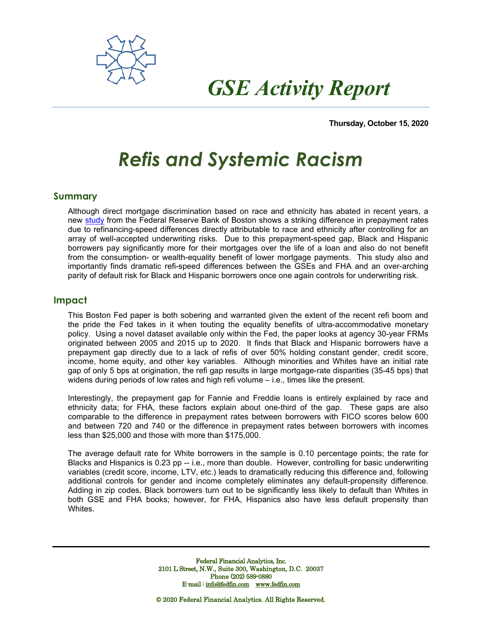

 *GSE Activity Report*

**Thursday, October 15, 2020**

## *Refis and Systemic Racism*

## **Summary**

Although direct mortgage discrimination based on race and ethnicity has abated in recent years, a new [study](https://www.bostonfed.org/-/media/Documents/Workingpapers/PDF/2020/wp2007.pdf) from the Federal Reserve Bank of Boston shows a striking difference in prepayment rates due to refinancing-speed differences directly attributable to race and ethnicity after controlling for an array of well-accepted underwriting risks. Due to this prepayment-speed gap, Black and Hispanic borrowers pay significantly more for their mortgages over the life of a loan and also do not benefit from the consumption- or wealth-equality benefit of lower mortgage payments. This study also and importantly finds dramatic refi-speed differences between the GSEs and FHA and an over-arching parity of default risk for Black and Hispanic borrowers once one again controls for underwriting risk.

## **Impact**

This Boston Fed paper is both sobering and warranted given the extent of the recent refi boom and the pride the Fed takes in it when touting the equality benefits of ultra-accommodative monetary policy. Using a novel dataset available only within the Fed, the paper looks at agency 30-year FRMs originated between 2005 and 2015 up to 2020. It finds that Black and Hispanic borrowers have a prepayment gap directly due to a lack of refis of over 50% holding constant gender, credit score, income, home equity, and other key variables. Although minorities and Whites have an initial rate gap of only 5 bps at origination, the refi gap results in large mortgage-rate disparities (35-45 bps) that widens during periods of low rates and high refi volume – i.e., times like the present.

Interestingly, the prepayment gap for Fannie and Freddie loans is entirely explained by race and ethnicity data; for FHA, these factors explain about one-third of the gap. These gaps are also comparable to the difference in prepayment rates between borrowers with FICO scores below 600 and between 720 and 740 or the difference in prepayment rates between borrowers with incomes less than \$25,000 and those with more than \$175,000.

The average default rate for White borrowers in the sample is 0.10 percentage points; the rate for Blacks and Hispanics is 0.23 pp -- i.e., more than double. However, controlling for basic underwriting variables (credit score, income, LTV, etc.) leads to dramatically reducing this difference and, following additional controls for gender and income completely eliminates any default-propensity difference. Adding in zip codes, Black borrowers turn out to be significantly less likely to default than Whites in both GSE and FHA books; however, for FHA, Hispanics also have less default propensity than Whites.

> Federal Financial Analytics, Inc. 2101 L Street, N.W., Suite 300, Washington, D.C. 20037 Phone (202) 589-0880 E-mail [: info@fedfin.com](mailto:info@fedfin.com) [www.fedfin.com](http://www.fedfin.com/)

© 2020 Federal Financial Analytics. All Rights Reserved.